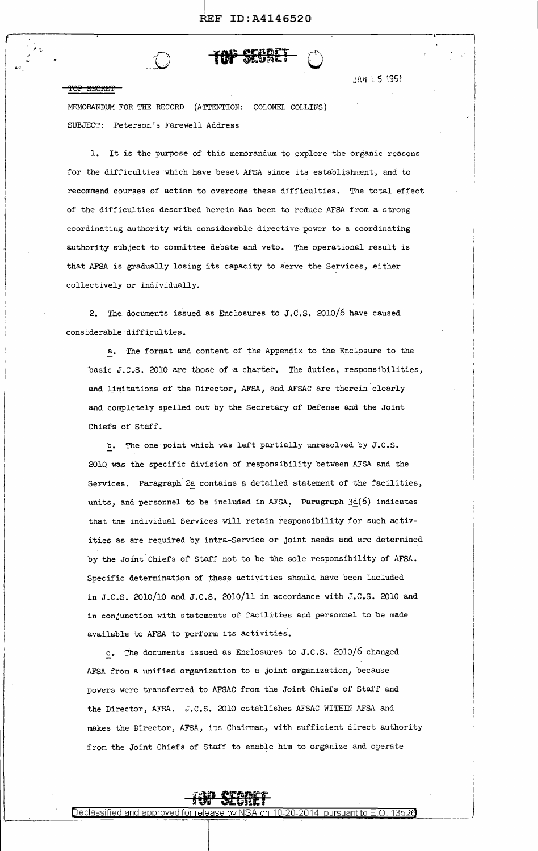

*r* ~ .... <sup>~</sup>

; ··c  $\overline{\phantom{a}}$ I I

<del>rop secret</del>

:1

 $\vert$ 

JAN : 5 1351

MEMORANDUM FOR THE RECORD (ATTENTION: COLONEL COLLINS) SUBJECT: Peterson's Farewell Address

 $\overline{\phantom{a}}$ 

1. It is the purpose of this memorandum to explore the organic reasons for the difficulties which have beset AFSA since its establishment, and to recommend courses of action to overcome these difficulties. The total effect of the difficulties described herein has been to reduce AFSA from a strong coordinating authority with considerable directive power to a coordinating authority subject to committee debate and veto. The operational result is that AFSA is gradually losing its capacity to serve the Services, either collectively or individually.

2. The documents issued as Enclosures to J.C.S. 2010/6 have caused considerable difficulties.

a. The format and content of the Appendix to the Enclosure to the basic J.C.S. 2010 are those of a charter. The duties, responsibilities, and limitations of the Director, AFSA, and AFSAC are therein clearly and completely spelled out by the Secretary of Defense and the Joint Chiefs of Staff.

b. The one·point which was left partially unresolved by J.c.s. 2010 was the specific division of responsibility between AFSA and the Services. Paragraph 2a contains a detailed statement of the facilities, units, and personnel to be included in AFSA. Paragraph  $3d(6)$  indicates that the individual Services will retain responsibility for such activities as are required by intra-Service or joint needs and are determined by the Joint Chiefs of Staff not. to be the sole responsibility of AFSA. Specific determination of these activities should have been included in J.C.S. 2010/10 and J.C.S. 2010/11 in accordance with J.C.S. 2010 and in conjunction with statements of facilities and personnel to be made available to AFSA to perform its activities.

c. The documents issued as Enclosures to J.C.S. 2010/6 changed AESA from a unified organization to a joint organization, because powers were transferred to AFSAC from the Joint Chiefs of Staff and the Director, AFSA. J.C.S. 2010 establishes AFSAC WITHIN AFSA and makes the Director, AFSA, its Chairman, with sufficient direct authority from the Joint Chiefs of Staff to enable him to organize and operate

> I I

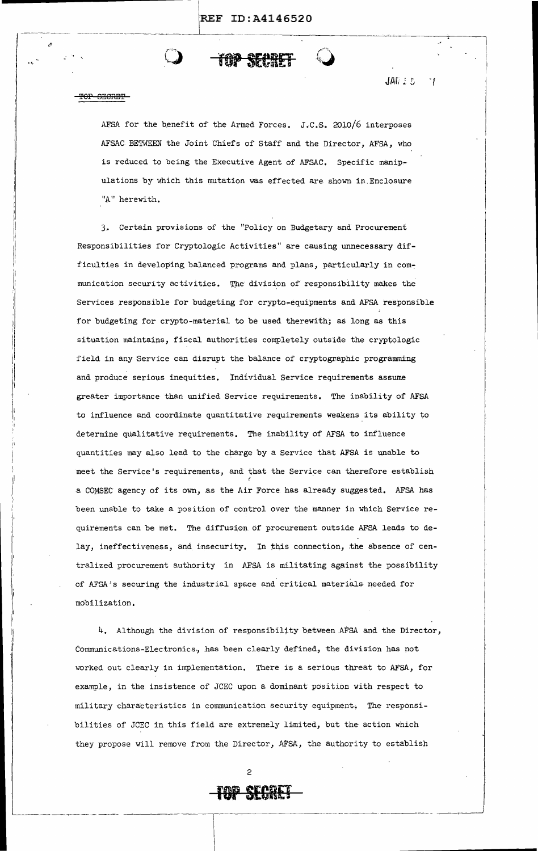JAR 1 5

71



||<br>||<br>|

'I I·  $\parallel$ I

I:

11

II  $\int$ I, I I I

AFSA for the benefit of the Armed Forces. J.C.S. 2010/6 interposes AFSAC BETWEEN the Joint Chiefs of Staff and the Director, AFSA, who is reduced to being the Executive Agent of AFSAC. Specific manipulations by which this mutation was effected are shown in.Enclosure "A" herewith.

J. Certain provisions of the "Policy on Budgetary and Procurement Responsibilities for Cryptologic Activities" are causing unnecessary difficulties in developing balanced programs and plans, particularly in communication security activities. The division of responsibility makes the Services responsible for budgeting for crypto-equipments and AFSA responsible for budgeting for crypto-material to be used therewith; as long as this situation maintains, fiscal authorities completely outside the cryptologic field in any Service can disrupt the balance of cryptographic programming and produce serious inequities. Individual Service requirements assume greater importance than unified Service requirements. The inability of AFSA to influence and coordinate quantitative requirements weakens its ability to determine qualitative requirements. The inability of AFSA to influence quantities may also lead to the charge by a Service that AFSA is unable to meet the Service's requirements, and that the Service can therefore establish a COMSEC agency of its own, as the Air Force has already suggested. AFSA has been unable to take a position of control over the manner in which Service requirements can be met. The diffusion of procurement outside AFSA leads to delay, ineffectiveness, and insecurity. In this connection, the absence of centralized procurement authority in AFSA is militating against the possibility of AFSA's securing the industrial space and critical materials needed for mobilization.

4. Although the division of responsibility between AFSA and the Director, Communications-Electronics., has been clearly defined, the division has not worked out clearly in implementation. There is a serious threat to AFSA, for example, in the, insistence of JCEC upon a dominant position with respect to. military characteristics in communication security equipment. The responsibilities of JCEC in this field are extremely limited, but the action which they propose will remove from the Director, AFSA, the authority to establish



2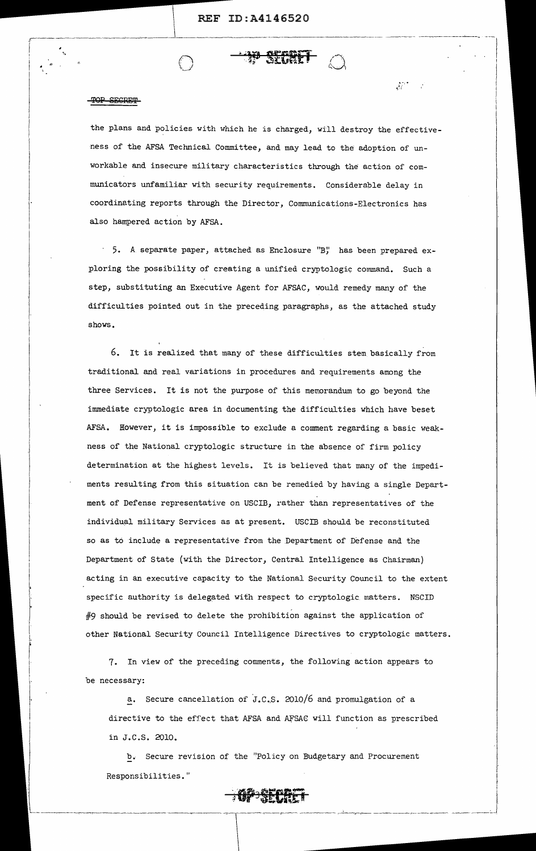#### SECRET mr

 $\overline{\phantom{a}}$ 

the plans and policies with which he is charged, will destroy the effectiveness of the AFSA Technical Committee, and may lead to the adoption of unworkable and insecure military characteristics through the action of communicators unfamiliar with security requirements. Considerable delay in coordinating reports through the Director, Communications-Electronics has also hampered action by AFSA.

JF.

5. A separate paper, attached as Enclosure "B" has been prepared exploring the possibility of creating a unified cryptologic command. Such a step, substituting an Executive Agent for AFSAC, would remedy many of the difficulties pointed out in the preceding paragraphs, as the attached study shows.

6. It is realized that many of these difficulties stem basically from traditional and real variations in procedures and requirements among the three Services. It is not the purpose of this memorandum to go beyond the immediate cryptologic area in documenting the difficulties which have beset AFSA. However, it is impossible to exclude a comment regarding a basic weakness of the National cryptologic structure in the absence of firm policy determination at the highest levels. It is believed that many of the impediments resulting from this situation can be remedied by having a single Department of Defense representative on USCIB, rather than representatives of the individual military Services as at present. USCIB should be reconstituted so as to include a representative from the Department of Defense and the Department of State (with the Director, Central Intelligence as Chairman) acting in an executive capacity to the National Security Council to the extent specific authority is delegated with respect to cryptologic matters. NSCID #9 should be revised to delete the prohibition against the application of other National Security Council Intelligence Directives to cryptologic matters.

7. In view of the preceding comments, the following action appears to be necessary:

a. Secure cancellation of J.C.S. 2010/6 and promulgation of a directive to the effect that AFSA and AfSAC will function as prescribed in J.C.S. 2010.

b. Secure revision of the "Policy on Budgetary and Procurement Responsibilities."



i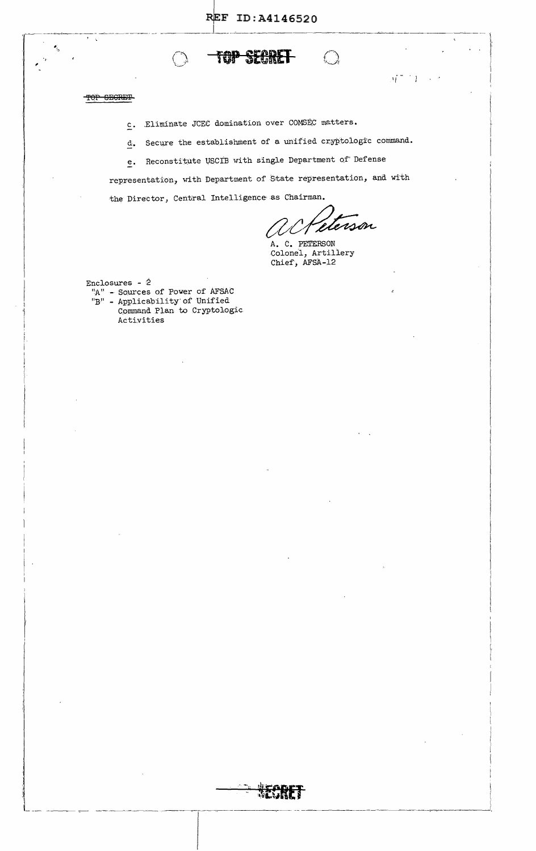

## TOP GEGRET

 $\mathcal{F}=\mathcal{F}$ 

¢,

Eliminate JCEC domination over COMSEC matters.  $\subseteq$ .

Secure the establishment of a unified cryptologic command.  $\overline{d}$ .

e. Reconstitute USCIB with single Department of Defense

representation, with Department of State representation, and with the Director, Central Intelligence as Chairman.

derson

 $\mathcal{A}^{(n-1)}$ 

A. C. PETERSON Colonel, Artillery Chief, AFSA-12

Enclosures -  $2$ "A" - Sources of Power of AFSAC  $"B"$  - Applicability of Unified

Command Plan to Cryptologic Activities

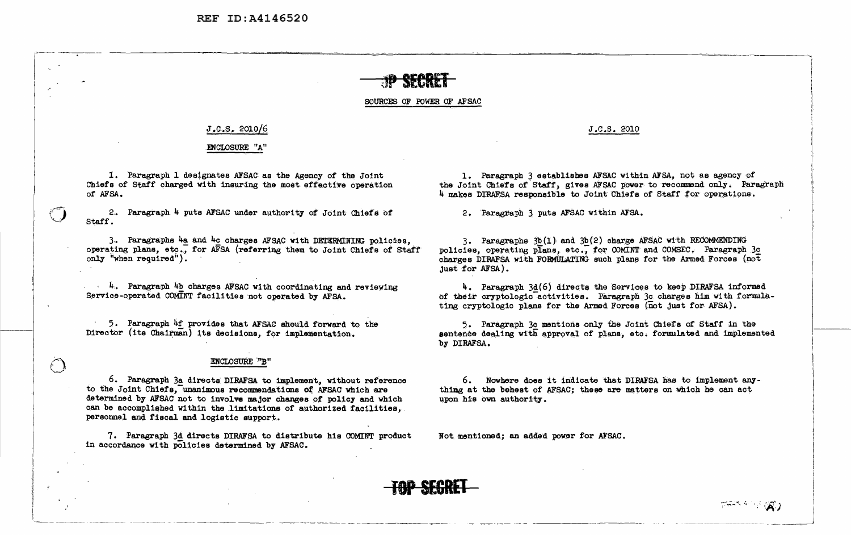REF ID: A4146520

#### SOURCES OF POWER OF AFSAC

#### $J.C.S. 2010/6$

#### ENCLOSURE "A"

1. Paragraph 1 designates AFSAC as the Agency of the Joint Chiefs of Staff charged with insuring the most effective operation of AFSA.

2. Paragraph 4 puts AFSAC under authority of Joint Chief's of Staff.

3. Paragraphs 4a and 4c charges AFSAC with DETERMINING policies. operating plans, etc., for AFSA (referring them to Joint Chiefs of Staff only "when required").

4. Paragraph 4b charges AFSAC with coordinating and reviewing Service-operated COMINT facilities not operated by AFSA.

5. Paragraph 4f provides that AFSAC should forward to the Director (its Chairman) its decisions, for implementation.

 $\bigcirc$ 

#### **ENCLOSURE "B"**

6. Paragraph 3a directs DIRAFSA to implement, without reference to the Joint Chiefs, unanimous recommendations of AFSAC which are determined by AFSAC not to involve major changes of policy and which can be accomplished within the limitations of authorized facilities, personnel and fiscal and logistic support.

7. Paragraph 3d directs DIRAFSA to distribute his COMINT product in accordance with policies determined by AFSAC.

J.C.S. 2010

1. Paragraph 3 establishes AFSAC within AFSA, not as agency of the Joint Chiefs of Staff, gives AFSAC power to recommend only. Paragraph 4 makes DIRAFSA responsible to Joint Chiefs of Staff for operations.

2. Paragraph 3 puts AFSAC within AFSA.

3. Paragraphs 3b(1) and 3b(2) charge AFSAC with RECOMMENDING policies, operating plans, etc., for COMINT and COMSEC. Paragraph 3c charges DIRAFSA with FORMULATING such plans for the Armed Forces (not just for AFSA).

4. Paragraph 3d(6) directs the Services to keep DIRAFSA informed of their cryptologic activities. Paragraph 3c charges him with formulating cryptologic plans for the Armed Forces (not just for AFSA).

5. Paragraph 3c mentions only the Joint Chiefs of Staff in the sentence dealing with approval of plans, etc. formulated and implemented by DIRAFSA.

6. Nowhere does it indicate that DIRAFSA has to implement anything at the behest of AFSAC; these are matters on which he can act upon his own authority.

Not mentioned; an added power for AFSAC.

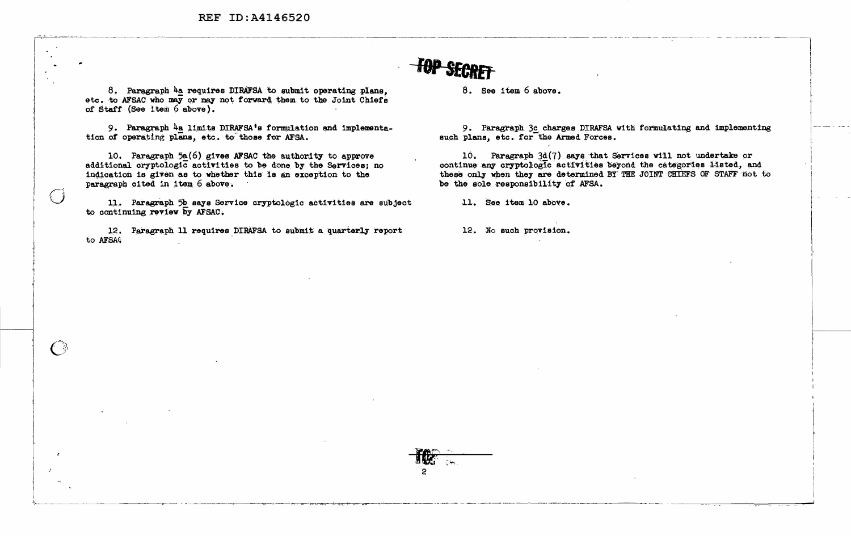REF ID:A4146520

8. Paragraph 4a requires DIRAFSA to submit operating plans. etc. to AFSAC who may or may not forward them to the Joint Chiefs of Staff (See item 6 above).

9. Paragraph 4a limits DIRAFSA's formulation and implementation of operating plans, etc. to those for AFSA.

10. Paragraph 5a(6) gives AFSAC the authority to approve additional cryptologic activities to be done by the Services; no indication is given as to whether this is an exception to the paragraph cited in item 6 above.

 $\bigcirc$ 

€ ₩

11. Paragraph 5b says Service cryptologic activities are subject to continuing review by AFSAC.

12. Paragraph 11 requires DIRAFSA to submit a quarterly report to AFSAC

8. See item 6 above.

9. Paragraph 3c charges DIRAFSA with formulating and implementing such plans, etc. for the Armed Forces.

10. Paragraph 3d(7) says that Services will not undertake or continue any cryptologic activities beyond the categories listed, and these only when they are determined BY THE JOINT CHIEFS OF STAFF not to be the sole responsibility of AFSA.

11. See item 10 above.

12. No such provision.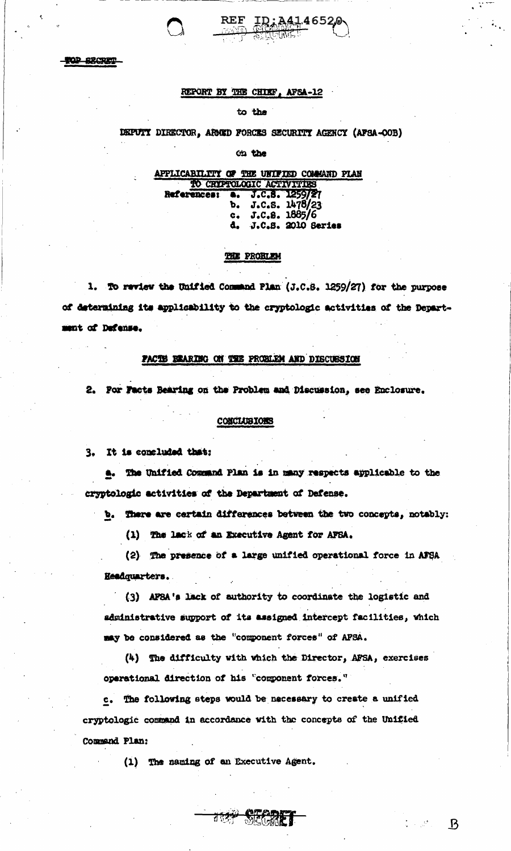TOP BECRET

### REPORT BY THE CHIEF, AFSA-12

REF

to the

### DEPUTY DIRECTOR, ARMED FORCES SECURITY AGENCY (AFSA-OOB)

<u>ID:A41</u>46520

on the

#### APPLICABILITY OF THE UNIFIED COMMAND PLAN TO CRIPTOLOGIC ACTIVITIES

J.C**.8. 1259/21 References:**  $\bullet$ J.C.S. 1478/23<br>J.C.S. 1885/6 b.  $c<sub>o</sub>$ J.C.S. 2010 Series a.

#### THE PROBLEM

1. To review the Unified Command Plan (J.C.S. 1259/27) for the purpose of determining its applicability to the cryptologic activities of the Department of Defense.

### PACTS BRARING ON THE PROBLEM AND DISCUSSION

2. For Facts Bearing on the Problem and Discussion, see Enclosure.

#### **CONCLUBIONS**

3. It is concluded that:

a. The Unified Command Plan is in many respects applicable to the cryptologic activities of the Department of Defense.

b. There are certain differences between the two concepts, notably:

(1) The lack of an Executive Agent for AFSA.

(2) The presence of a large unified operational force in AFSA Headquarters.

(3) APSA's lack of authority to coordinate the logistic and administrative support of its assigned intercept facilities, which may be considered as the "component forces" of APSA.

(4) The difficulty with which the Director, AFSA, exercises operational direction of his "component forces."

c. The following steps would be necessary to create a unified cryptologic command in accordance with the concepts of the Unified Command Plan:

**Alt** 

(1) The naming of an Executive Agent.

 $\mathcal{B}$ 

 $\mathbb{Z} \times \mathbb{R}^{k+1}$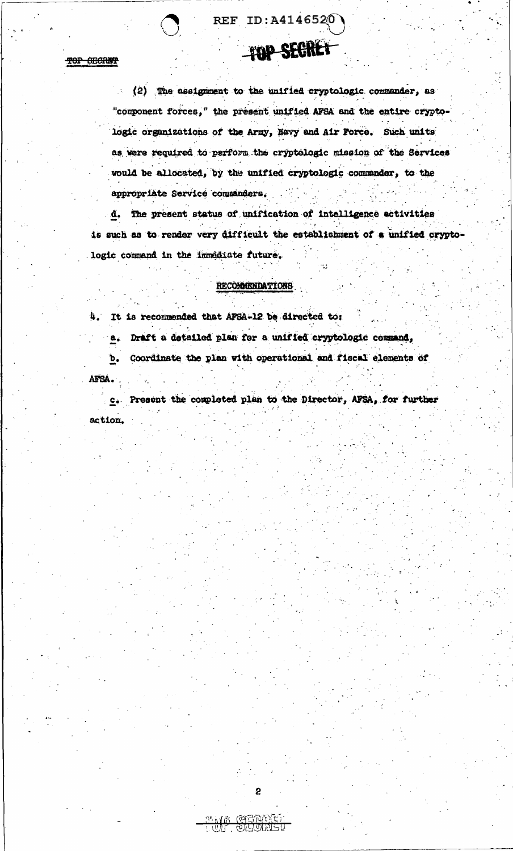(2) The assignment to the unified cryptologic commander, as "component forces," the present unified AFSA and the entire cryptologic organizations of the Army, Havy and Air Force. Such units as were required to perform the cryptologic mission of the Services would be allocated, by the unified cryptologic commander, to the appropriate Service commanders.

REF ID: A4146520

FOP SECRET

d. The present status of unification of intelligence activities is such as to render very difficult the establishment of a unified cryptologic command in the immediate future.

### RECOMMENDATIONS

4. It is recommended that APSA-12 be directed to:

Draft a detailed plan for a unified cryptologic command,  $B_{\bullet}$ 

Coordinate the plan with operational and fiscal elements of  $\mathbf{b}$ .

AFSA.

TOP SECRET

Present the completed plan to the Director, AFSA, for further  $\frac{1}{2}$   $\frac{1}{2}$ action.

 $\overline{2}$ 

**DAMADI)**<br>JELJUVEKO

いりに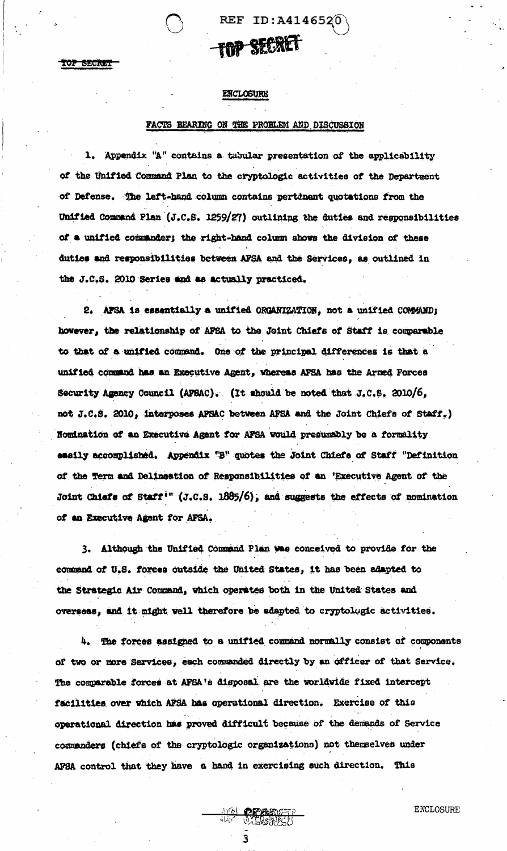TOP SECRET

### ENCLOSURE

### PACTS BEARING ON THE PROBLEM AND DISCUSSION

<del>mp Sfaret</del>

**REF ID:A4146520** 

1. Appendix "A" contains a tabular presentation of the applicability of the Unified Command Plan to the cryptologic activities of the Department of Defense. The left-hand column contains pertinent quotations from the Unified Command Plan (J.C.S. 1259/27) outlining the duties and responsibilities of a unified commander; the right-hand column shows the division of these duties and responsibilities between AFSA and the Services, as outlined in the J.C.S. 2010 Series and as actually practiced.

2. AFSA is essentially a unified ORGARIZATION, not a unified COMMAND; however, the relationship of AFSA to the Joint Chiefs of Staff is comparable to that of a unified command. One of the principal differences is that a unified command has an Executive Agent, whereas AFSA has the Armed Forces Security Agency Council (AFBAC). (It should be noted that J.C.S. 2010/6, not J.C.S. 2010, interposes AFSAC between AFSA and the Joint Chiefs of Staff.) Nomination of an Executive Agent for AFSA would presumably be a formality easily accomplished. Appendix "B" quotes the Joint Chiefs of Staff "Definition of the Term and Delineation of Responsibilities of an 'Executive Agent of the Joint Chiefs of Staff<sup>in</sup> (J.C.S. 1885/6), and suggests the effects of nomination of an Executive Agent for AFSA.

3. Although the Unified Command Plan was conceived to provide for the command of U.S. forces outside the United States, it has been adapted to the Strategic Air Command, which operates both in the United States and overseas, and it might well therefore be adapted to cryptolugic activities.

4. The forces assigned to a unified command normally consist of components of two or more Services, each commanded directly by an officer of that Service. The comparable forces at AFSA's disposal are the worldwide fixed intercept facilities over which AFSA has operational direction. Exercise of this operational direction has proved difficult because of the demands of Service commanders (chiefs of the cryptologic organizations) not themselves under AFSA control that they have a hand in exercising such direction. This

**OF ALL** 

**ENCLOSURE**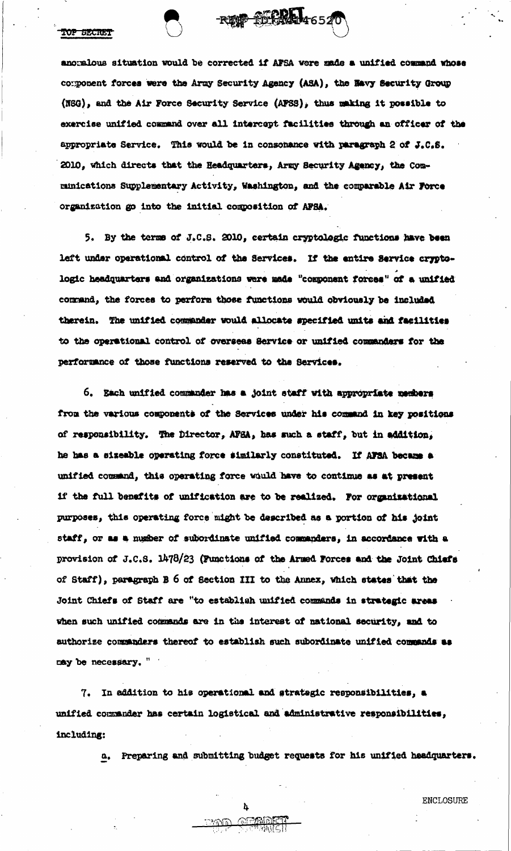**POP SECRET** 

anoralous situation would be corrected if AFSA were made a unified command whose component forces were the Army Security Agency (ASA), the Havy Security Group (NSG), and the Air Force Security Service (APSS), thus making it possible to exercise unified command over all intercept facilities through an officer of the appropriate Service. This would be in consonance with paragraph 2 of J.C.S. 2010, which directs that the Headquarters, Army Security Agency, the Communications Supplementary Activity, Washington, and the comparable Air Force organization go into the initial composition of AFSA.

RESP STORA 46520

5. By the terms of J.C.S. 2010, certain cryptologic functions have been left under operational control of the Services. If the entire Service cryptologic headquarters and organizations were made "component forces" of a unified command, the forces to perform those functions would obviously be included therein. The unified commander would allocate specified units and facilities to the operational control of overseas Service or unified commanders for the performance of those functions reserved to the Services.

6. Each unified commander has a joint staff with appropriate members from the various components of the Services under his command in key positions of responsibility. The Director, AFEA, has such a staff, but in addition, he has a sizeable operating force similarly constituted. If AFSA became a unified command, this operating force would have to continue as at present if the full benefits of unification are to be realized. For organizational purposes, this operating force might be described as a portion of his joint staff, or as a number of subordinate unified commanders, in accordance with a provision of J.C.S. 1478/23 (Punctions of the Armed Forces and the Joint Chiefs of Staff), paragraph B 6 of Section III to the Annex, which states that the Joint Chiefs of Staff are "to establish unified commands in strategic areas when such unified commands are in the interest of national security, and to authorize commanders thereof to establish such subordinate unified commands as may be necessary. "

7. In addition to his operational and strategic responsibilities, a unified commander has certain logistical and administrative responsibilities, including:

a. Preparing and submitting budget requests for his unified headquarters.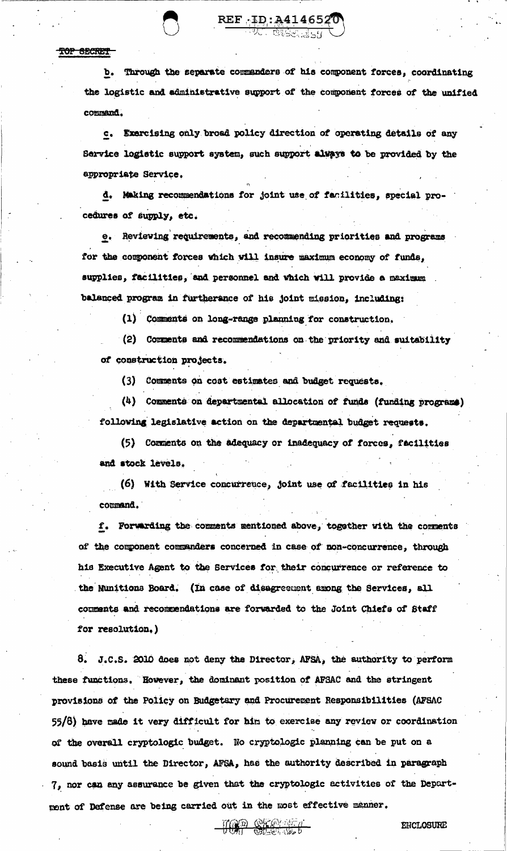#### TOP SECRET

b. Through the separate commanders of his component forces, coordinating the logistic and administrative support of the component forces of the unified command.

REF 1D: A4146520

c. Exercising only broad policy direction of operating details of any Service logistic support system, such support always to be provided by the appropriate Service.

d. Making recommendations for joint use of facilities, special procedures of supply, etc.

e. Reviewing requirements, and recommending priorities and programs for the component forces which will insure maximum economy of funds, supplies, facilities, and personnel and which will provide a maximum balanced program in furtherance of his joint mission, including:

(1) Comments on long-range planning for construction.

(2) Comments and recommendations on the priority and suitability of construction projects.

(3) Comments on cost estimates and budget requests.

(4) Comments on departmental allocation of funds (funding programs) following legislative action on the departmental budget requests.

(5) Comments on the adequacy or inadequacy of forces, facilities and stock levels.

(6) With Service concurrence, joint use of facilities in his command.

f. Forwarding the comments mentioned above, together with the comments of the component commenders concerned in case of non-concurrence, through his Executive Agent to the Services for their concurrence or reference to the Nunitions Board. (In case of disagreement among the Services, all comments and recommendations are forwarded to the Joint Chiefs of Staff for resolution, )

8. J.C.S. 2010 does not deny the Director, AFSA, the authority to perform these functions. However, the dominant position of AFSAC and the stringent provisions of the Policy on Budgetary and Procurement Responsibilities (AFSAC 55/8) have made it very difficult for him to exercise any review or coordination of the overall cryptologic budget. No cryptologic planning can be put on a sound basis until the Director, AFSA, has the authority described in paragraph 7, nor can any assurance be given that the cryptologic activities of the Department of Defense are being carried out in the most effective manner.

TOO OKABER

ENCLOSURE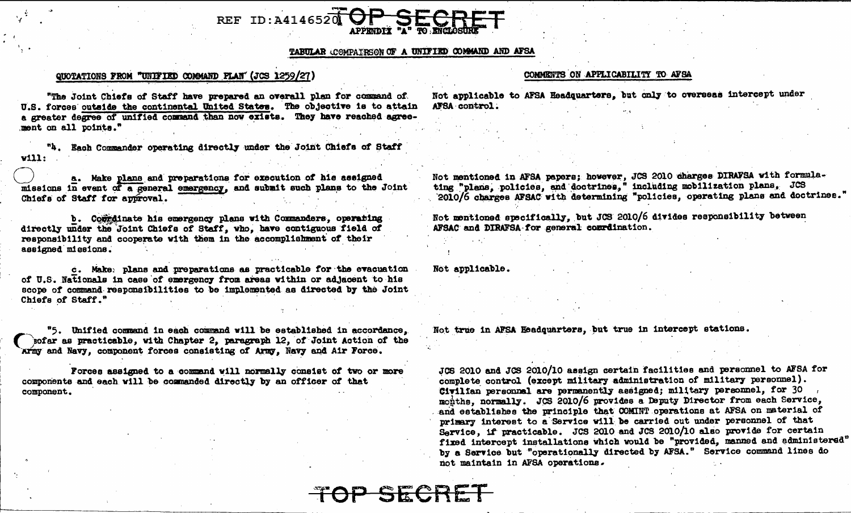

### TABULAR COMPAIRSON OF A UNIFIED COMMAND AND AFSA

OP SECRET

#### QUOTATIONS FROM "UNIFIED COMMAND FLAN" (JCS 1259/27)

#### COMMENTS ON APPLICABILITY TO AFSA

"The Joint Chiefs of Staff have prepared an overall plan for command of U.S. forces outside the continental United States. The objective is to attain a greater degree of unified command than now exists. They have reached agreement on all points."

"4. Each Commander operating directly under the Joint Chiefs of Staff vill:

a. Make plane and preparations for execution of his assigned missions in event of a general emergency, and submit such plans to the Joint Chiefs of Staff for approval.

b. Corrdinate his emergency plans with Commanders, operating directly under the Joint Chiefs of Staff, who, have contiguous field of responsibility and cooperate with them in the accomplishment of their assigned missions.

c. Make: plans and preparations as practicable for the evacuation of U.S. Nationals in case of emergency from areas within or adjacent to his scope of command responsibilities to be implemented as directed by the Joint Chiefs of Staff."

"5. Unified command in each command will be established in accordance, sofar as practicable, with Chapter 2. paragraph 12, of Joint Action of the Army and Navy, component forces consisting of Army, Navy and Air Force.

Forces assigned to a command will normally consist of two or more components and each will be commanded directly by an officer of that component.

Not applicable to AFSA Headquarters, but only to overseas intercept under AFSA control.

Not mentioned in AFSA papers; however, JCS 2010 charges DIRAFSA with formulating "plans, policies, and doctrines," including mobilization plans, JCS 2010/6 charges AFSAC with determining "policies, operating plans and doctrines."

Not mentioned specifically, but JCS 2010/6 divides responsibility between AFSAC and DIRAFSA for general conridention.

Not applicable.

Not true in AFSA Headquarters, but true in intercept stations.

JCS 2010 and JCS 2010/10 assign certain facilities and personnel to AFSA for complete control (except military administration of military personnel). Civilian personnal are permanently assigned; military personnel, for 30 months, normally. JCS 2010/6 provides a Deputy Director from each Service, and establishes the principle that COMINT operations at AFSA on material of primary interest to a Service will be carried out under personnel of that Service, if practicable. JCS 2010 and JCS 2010/10 also provide for certain fixed intercept installations which would be "provided, manned and administered" by a Service but "operationally directed by AFSA." Service command lines do not maintain in AFSA operations.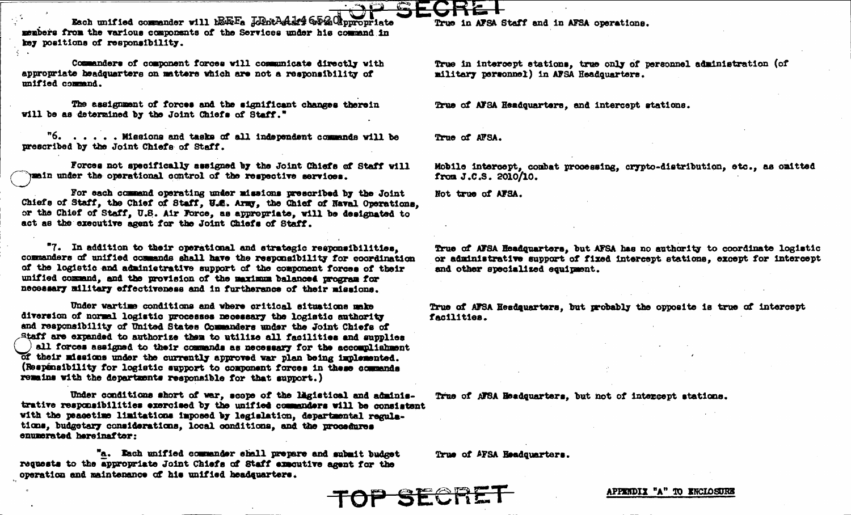Each unified commander will h&FeFa JoDotAddf# GD26 Chopropriate members from the various components of the Services under his command in key positions of responsibility.

Commanders of component forces will communicate directly with appropriate headquarters on matters which are not a responsibility of unified command.

The assignment of forces and the significant changes therein will be as determined by the Joint Chiefs of Staff."

"6. . . . . Missions and tasks of all independent commands will be prescribed by the Joint Chiefs of Staff.

Forces not specifically assigned by the Joint Chiefs of Staff will mein under the operational control of the respective services.

For each command operating under missions prescribed by the Joint Chiefs of Staff, the Chief of Staff, U.S. Army, the Chief of Naval Operations. or the Chief of Staff, U.S. Air Force, as appropriate, will be designated to act as the executive agent for the Joint Chiefs of Staff.

"7. In addition to their operational and strategic responsibilities. commanders of unified commands shall have the responsibility for coordination of the logistic and administrative support of the component forces of their unified command, and the provision of the maximum balanced program for necessary military effectiveness and in furtherance of their missions.

Under wartime conditions and where critical situations make diversion of normal logistic processes necessary the logistic authority and responsibility of United States Commanders under the Joint Chiefs of Staff are expanded to authorize them to utilize all facilities and supplies all forces assigned to their commands as necessary for the accomplishment of their missions under the currently approved war plan being implemented. (Respensibility for logistic support to component forces in these commands remains with the departments responsible for that support.)

Under conditions short of war, scope of the ligistical and administrative responsibilities exercised by the unified commanders will be consistent with the peacetime limitations imposed by legislation, departmental regulations, budgetary considerations, local conditions, and the procedures enumerated hereinafter:

"a. Each unified commander shall prepare and submit budget requests to the appropriate Joint Chiefs of Staff executive agent for the operation and maintenance of his unified headsuarters.

True in AFSA Staff and in AFSA operations.

True in intercept stations, true only of personnel administration (of military personnel) in AFSA Headquarters.

True of AFSA Headquarters, and intercept stations.

True of AFSA.

Mobile intercept, combat processing, crypto-distribution, etc., as omitted from J.C.S. 2010/10.

Not true of AFSA.

True of AFSA Headquarters, but AFSA has no authority to coordinate logistic or administrative support of fixed intercept stations, except for intercept and other specialized equipment.

True of AFSA Headquarters, but probably the opposite is true of intercept facilities.

True of AFSA Headquarters, but not of intercept stations.

True of AFSA Headquarters.



APPENDIX "A" TO ENCLOSURE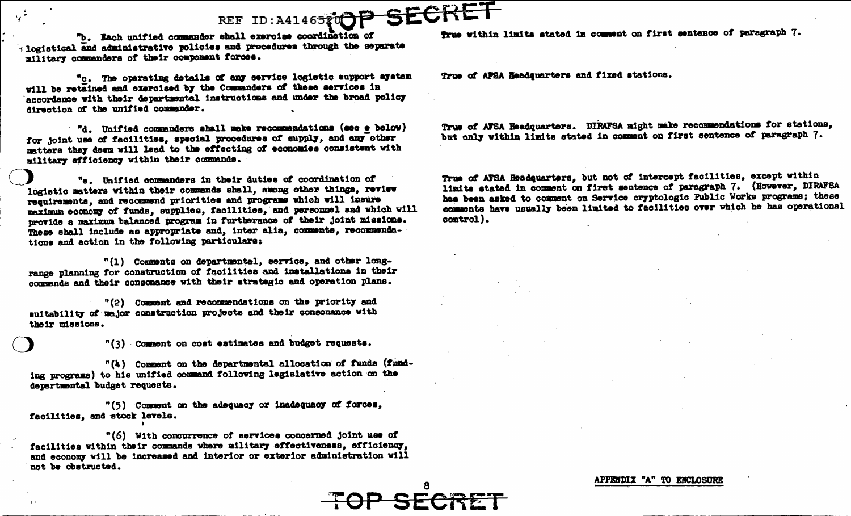

"b. Each unified commander shall exercise coordination of Is logistical and administrative policies and procedures through the separate military commanders of their component forces.

"c. The operating details of any service logistic support system will be retained and exercised by the Commanders of these services in accordance with their departmental instructions and under the broad policy direction of the unified commander.

"d. Unified commanders shall make recommendations (see e below) for joint use of facilities, special procedures of supply, and any other matters they deem will lead to the effecting of economies consistent with military efficiency within their commends.

"e. Unified commanders in their duties of coordination of logistic matters within their commands shall, among other things, review requirements, and recommend priorities and programs which will insure maximum economy of funds, supplies, facilities, and personnel and which will provide a maximum balanced program in furtherance of their joint missions. These shall include as appropriate and, inter alia, comments, recommendations and action in the following particulars:

"(1) Comments on departmental, service, and other longrange planning for construction of facilities and installations in their commands and their consonance with their strategic and operation plans.

"(2) Comment and recommendations on the priority and suitability of major construction projects and their consonance with their missions.

"(3) Comment on cost estimates and budget requests.

"(4) Comment on the departmental allocation of funds (funding programs) to his unified command following legislative action on the departmental budget requests.

"(5) Comment on the adequacy or inadequacy of forces, facilities, and stock levels.

"(6) With concurrence of services concerned joint use of facilities within their commands where military effectiveness, efficiency, and economy will be increased and interior or exterior administration will not be obstructed.

True within limits stated in comment on first sentence of paragraph 7.

True of AFSA Readevarters and fixed stations.

True of AFSA Headquarters. DIRAFSA might make recommendations for stations, but only within limits stated in comment on first sentence of paragraph 7.

True of AFSA Headquarters, but not of intercept facilities, except within limits stated in comment on first sentence of paragraph 7. (However, DIRAFSA has been asked to comment on Service cryptologic Public Works programs; these comments have usually been limited to facilities over which he has operational control).

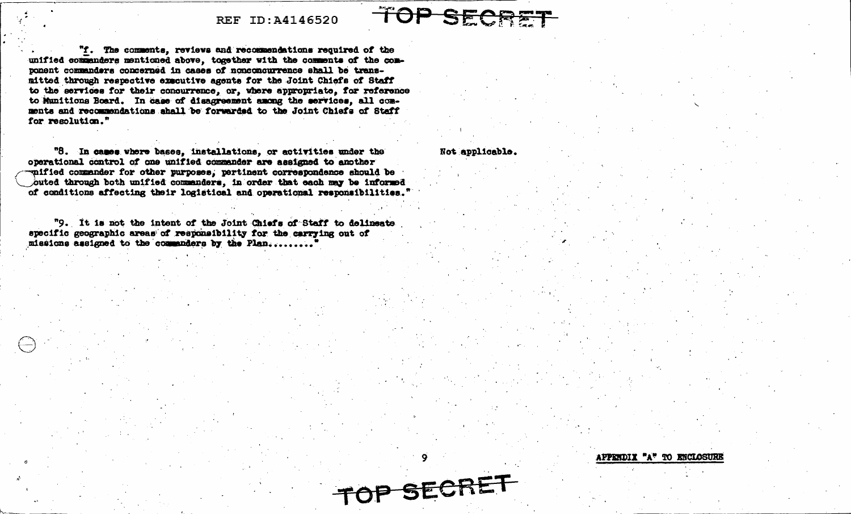### REF ID: A4146520

"f. The comments, reviews and recommendations required of the unified commanders mentioned above, together with the comments of the component commanders concerned in cases of nonconcurrence shall be transmitted through respective executive agents for the Joint Chiefs of Staff to the services for their concurrence, or, where appropriate, for reference to Munitions Board. In case of disagreement among the services, all comments and recommendations shall be forwarded to the Joint Chiefs of Staff for resolution."

"8. In cases where bases, installations, or activities under the operational control of one unified commander are assigned to another wified commander for other purposes, pertinent correspondence should be outed through both unified commanders, in order that each may be informed of conditions affecting their logistical and operational responsibilities."

"9. It is not the intent of the Joint Chiefs of Staff to delineate specific geographic areas of responsibility for the carrying out of missions assigned to the commanders by the Plan.........

APPERDIX "A" TO ENCLOSURE

TOP SECRET

TOP SEC

Not applicable.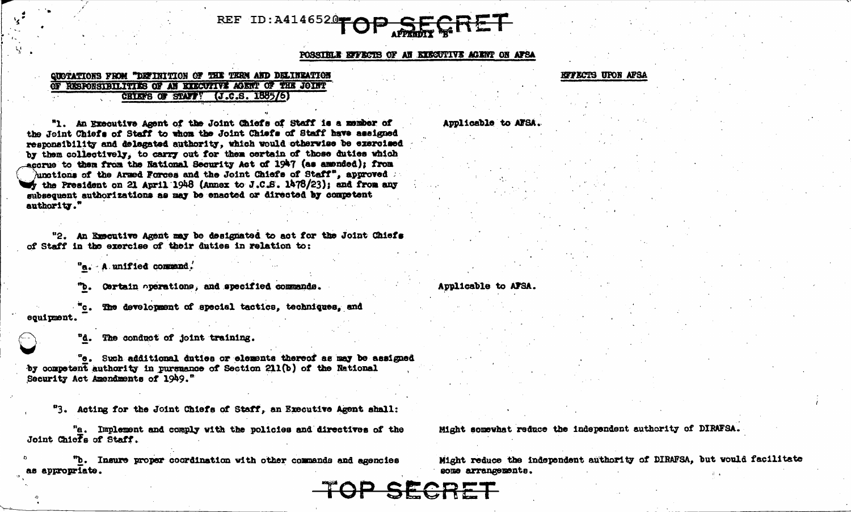# REF ID: A4146520

POSSIBLE EFFECTS OF AN EXECUTIVE ACENT ON AFSA

### **QUOTATIONS FROM "DETINITION OF THE TEEN AND DELINEATION** OF RESPONSIBILITIES OF AN EXECUTIVE AGENT OF THE JOINT CHIEFS OF STAFF! (J.C.S. 1885/6)

"1. An Executive Agent of the Joint Chiefs of Staff is a member of the Joint Chiefs of Staff to whom the Joint Chiefs of Staff have assigned responsibility and delegated authority, which would otherwise be exercised by them collectively, to carry out for them certain of those duties which accrue to them from the National Security Act of 1947 (as amended); from unctions of the Armed Forces and the Joint Chiefs of Staff", approved  $\therefore$ the President on 21 April 1948 (Annex to J.C.S. 1478/23); and from any mubsequent authorizations as may be enacted or directed by competent authority."

"2. An Executive Agent may be designated to act for the Joint Chiefs of Staff in the exercise of their duties in relation to:

"a. A unified command.

Certain operations, and specified commands.

The development of special tactics, techniques, and equipment

The conduct of joint training.

"e. Such additional duties or elements thereof as may be assigned by competent authority in pursuance of Section 211(b) of the National Security Act Amendments of 1949."

"3. Acting for the Joint Chiefs of Staff, an Executive Agent shall:

"a. Implement and comply with the policies and directives of the Joint Chiefs of Staff.

"b. Insure proper coordination with other commands and agencies appropriate.

#### **KITECTS UPON AFSA**

Applicable to AFSA.

Applicable to AFSA.

Might somewhat reduce the independent authority of DIRAFSA.

Might reduce the independent authority of DIRAFSA, but would facilitate some arrangements.